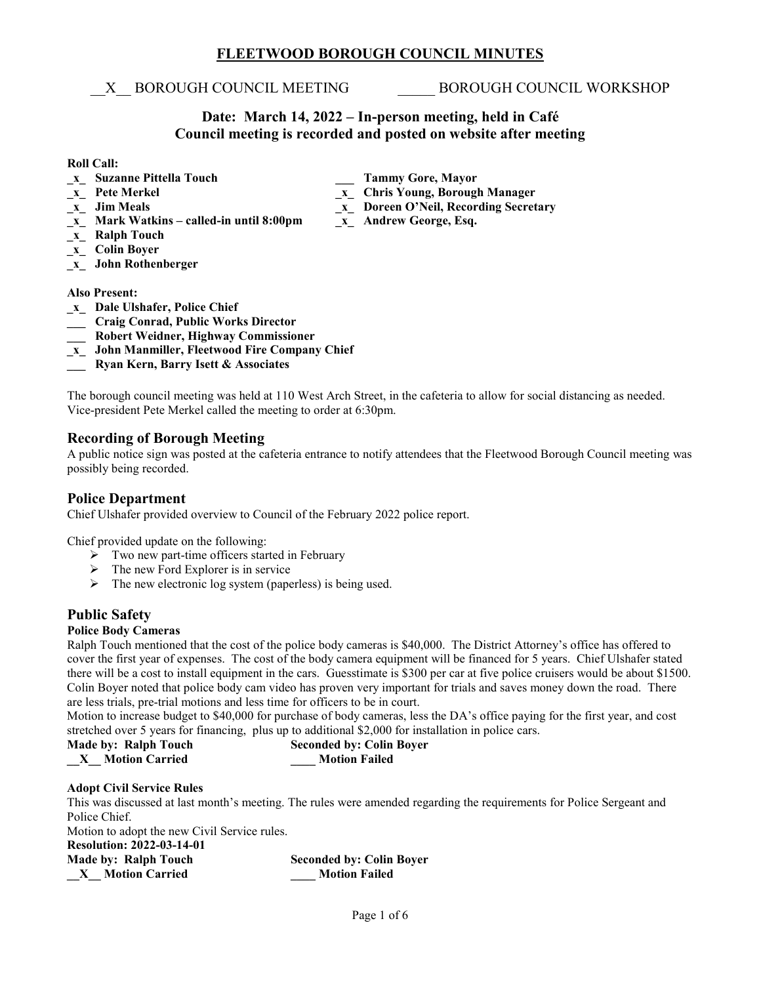## **FLEETWOOD BOROUGH COUNCIL MINUTES**

\_\_X\_\_ BOROUGH COUNCIL MEETING \_\_\_\_\_ BOROUGH COUNCIL WORKSHOP

## **Date: March 14, 2022 – In-person meeting, held in Café Council meeting is recorded and posted on website after meeting**

**\_x\_ Pete Merkel \_x\_ Chris Young, Borough Manager**

#### **Roll Call:**

- **\_x\_ Suzanne Pittella Touch \_\_\_ \_\_\_ Tammy Gore, Mayor**<br> **\_x\_ Pete Merkel decay of the Chris Young, Borougly**
- 
- **\_x\_ Jim Meals \_x\_ Doreen O'Neil, Recording Secretary**
- **\_x\_ Mark Watkins – called-in until 8:00pm \_x\_ Andrew George, Esq.**
- **\_x\_ Ralph Touch**
- **\_x\_ Colin Boyer**
- **\_x\_ John Rothenberger**

#### **Also Present:**

- **\_x\_ Dale Ulshafer, Police Chief**
- **\_\_\_ Craig Conrad, Public Works Director**
- **\_\_\_ Robert Weidner, Highway Commissioner**
- **\_x\_ John Manmiller, Fleetwood Fire Company Chief**
- **\_\_\_ Ryan Kern, Barry Isett & Associates**

The borough council meeting was held at 110 West Arch Street, in the cafeteria to allow for social distancing as needed. Vice-president Pete Merkel called the meeting to order at 6:30pm.

## **Recording of Borough Meeting**

A public notice sign was posted at the cafeteria entrance to notify attendees that the Fleetwood Borough Council meeting was possibly being recorded.

## **Police Department**

Chief Ulshafer provided overview to Council of the February 2022 police report.

Chief provided update on the following:

- $\triangleright$  Two new part-time officers started in February
- The new Ford Explorer is in service
- $\triangleright$  The new electronic log system (paperless) is being used.

## **Public Safety**

## **Police Body Cameras**

Ralph Touch mentioned that the cost of the police body cameras is \$40,000. The District Attorney's office has offered to cover the first year of expenses. The cost of the body camera equipment will be financed for 5 years. Chief Ulshafer stated there will be a cost to install equipment in the cars. Guesstimate is \$300 per car at five police cruisers would be about \$1500. Colin Boyer noted that police body cam video has proven very important for trials and saves money down the road. There are less trials, pre-trial motions and less time for officers to be in court.

Motion to increase budget to \$40,000 for purchase of body cameras, less the DA's office paying for the first year, and cost stretched over 5 years for financing, plus up to additional \$2,000 for installation in police cars.

**Made by: Ralph Touch Seconded by: Colin Boyer \_\_X\_\_ Motion Carried \_\_\_\_ Motion Failed**

#### **Adopt Civil Service Rules**

This was discussed at last month's meeting. The rules were amended regarding the requirements for Police Sergeant and Police Chief.

Motion to adopt the new Civil Service rules.

**Resolution: 2022-03-14-01 \_\_X\_\_ Motion Carried \_\_\_\_ Motion Failed**

**Made by: Ralph Touch 5 8econded by: Colin Boyer 18 8.1 Seconded by: Colin Boyer**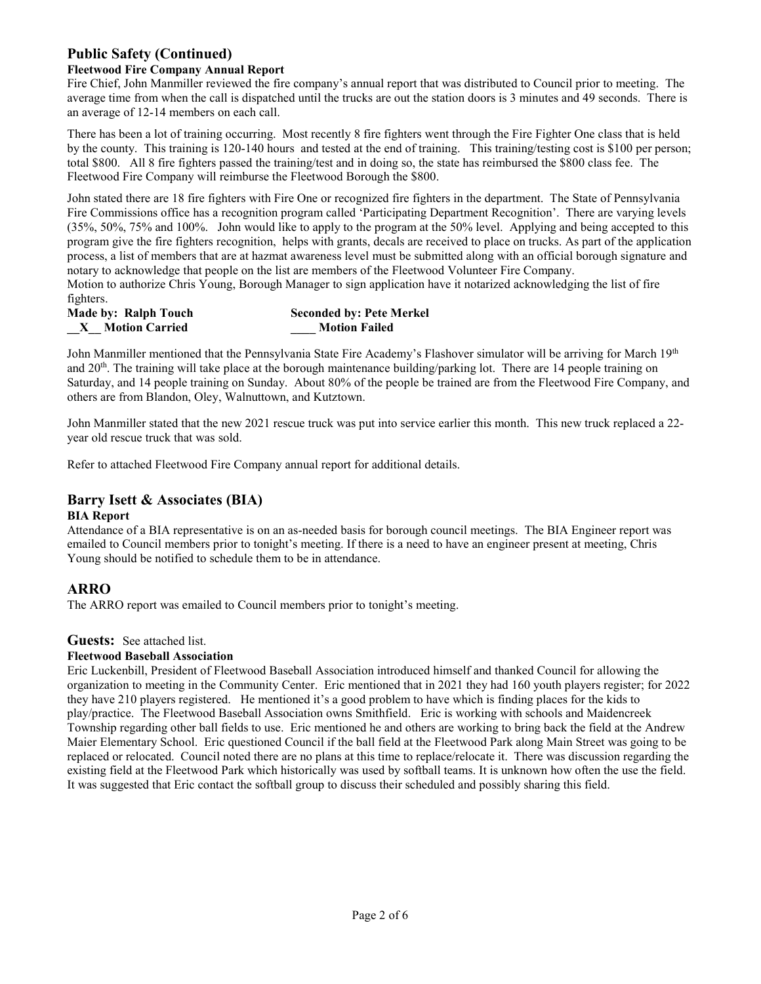## **Public Safety (Continued)**

## **Fleetwood Fire Company Annual Report**

Fire Chief, John Manmiller reviewed the fire company's annual report that was distributed to Council prior to meeting. The average time from when the call is dispatched until the trucks are out the station doors is 3 minutes and 49 seconds. There is an average of 12-14 members on each call.

There has been a lot of training occurring. Most recently 8 fire fighters went through the Fire Fighter One class that is held by the county. This training is 120-140 hours and tested at the end of training. This training/testing cost is \$100 per person; total \$800. All 8 fire fighters passed the training/test and in doing so, the state has reimbursed the \$800 class fee. The Fleetwood Fire Company will reimburse the Fleetwood Borough the \$800.

John stated there are 18 fire fighters with Fire One or recognized fire fighters in the department. The State of Pennsylvania Fire Commissions office has a recognition program called 'Participating Department Recognition'. There are varying levels (35%, 50%, 75% and 100%. John would like to apply to the program at the 50% level. Applying and being accepted to this program give the fire fighters recognition, helps with grants, decals are received to place on trucks. As part of the application process, a list of members that are at hazmat awareness level must be submitted along with an official borough signature and notary to acknowledge that people on the list are members of the Fleetwood Volunteer Fire Company. Motion to authorize Chris Young, Borough Manager to sign application have it notarized acknowledging the list of fire

fighters. **Made by: Ralph Touch Seconded by: Pete Merkel**

**\_\_X\_\_ Motion Carried \_\_\_\_ Motion Failed**

|  | <b>Motion Carried</b> |
|--|-----------------------|

John Manmiller mentioned that the Pennsylvania State Fire Academy's Flashover simulator will be arriving for March 19<sup>th</sup> and  $20<sup>th</sup>$ . The training will take place at the borough maintenance building/parking lot. There are 14 people training on Saturday, and 14 people training on Sunday. About 80% of the people be trained are from the Fleetwood Fire Company, and others are from Blandon, Oley, Walnuttown, and Kutztown.

John Manmiller stated that the new 2021 rescue truck was put into service earlier this month. This new truck replaced a 22 year old rescue truck that was sold.

Refer to attached Fleetwood Fire Company annual report for additional details.

## **Barry Isett & Associates (BIA)**

## **BIA Report**

Attendance of a BIA representative is on an as-needed basis for borough council meetings. The BIA Engineer report was emailed to Council members prior to tonight's meeting. If there is a need to have an engineer present at meeting, Chris Young should be notified to schedule them to be in attendance.

## **ARRO**

The ARRO report was emailed to Council members prior to tonight's meeting.

## **Guests:** See attached list.

#### **Fleetwood Baseball Association**

Eric Luckenbill, President of Fleetwood Baseball Association introduced himself and thanked Council for allowing the organization to meeting in the Community Center. Eric mentioned that in 2021 they had 160 youth players register; for 2022 they have 210 players registered. He mentioned it's a good problem to have which is finding places for the kids to play/practice. The Fleetwood Baseball Association owns Smithfield. Eric is working with schools and Maidencreek Township regarding other ball fields to use. Eric mentioned he and others are working to bring back the field at the Andrew Maier Elementary School. Eric questioned Council if the ball field at the Fleetwood Park along Main Street was going to be replaced or relocated. Council noted there are no plans at this time to replace/relocate it. There was discussion regarding the existing field at the Fleetwood Park which historically was used by softball teams. It is unknown how often the use the field. It was suggested that Eric contact the softball group to discuss their scheduled and possibly sharing this field.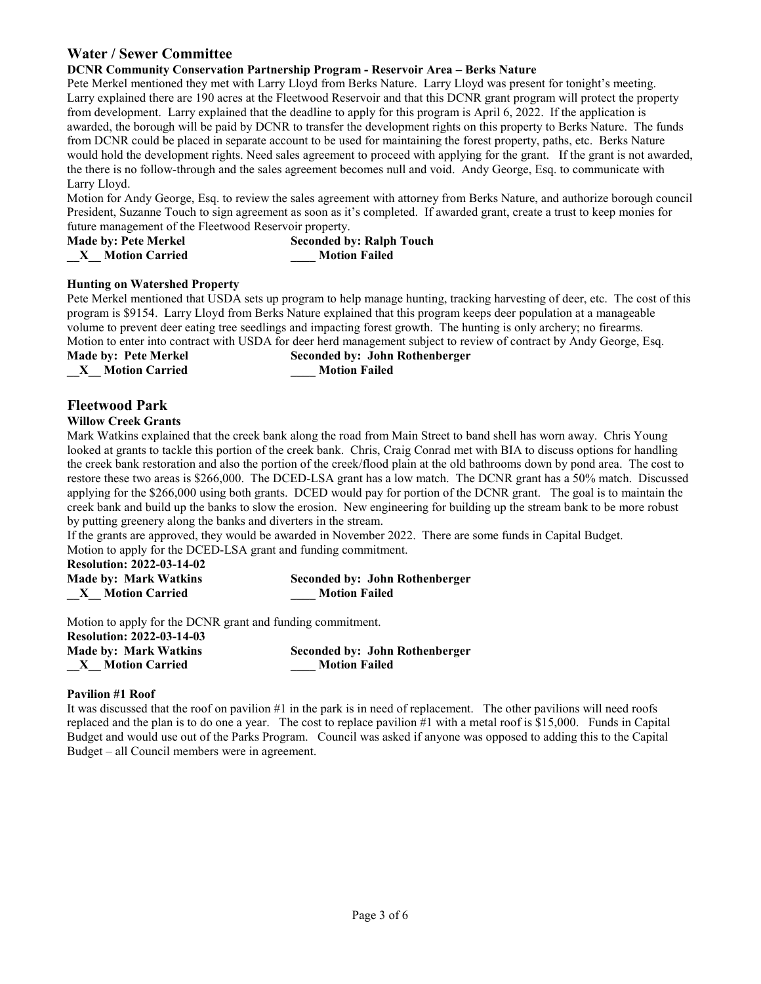## **Water / Sewer Committee**

#### **DCNR Community Conservation Partnership Program - Reservoir Area – Berks Nature**

Pete Merkel mentioned they met with Larry Lloyd from Berks Nature. Larry Lloyd was present for tonight's meeting. Larry explained there are 190 acres at the Fleetwood Reservoir and that this DCNR grant program will protect the property from development. Larry explained that the deadline to apply for this program is April 6, 2022. If the application is awarded, the borough will be paid by DCNR to transfer the development rights on this property to Berks Nature. The funds from DCNR could be placed in separate account to be used for maintaining the forest property, paths, etc. Berks Nature would hold the development rights. Need sales agreement to proceed with applying for the grant. If the grant is not awarded, the there is no follow-through and the sales agreement becomes null and void. Andy George, Esq. to communicate with Larry Lloyd.

Motion for Andy George, Esq. to review the sales agreement with attorney from Berks Nature, and authorize borough council President, Suzanne Touch to sign agreement as soon as it's completed. If awarded grant, create a trust to keep monies for future management of the Fleetwood Reservoir property.

| <b>Made by: Pete Merkel</b> | <b>Seconded by: Ralph Touch</b> |
|-----------------------------|---------------------------------|
| <b>Motion Carried</b>       | <b>Motion Failed</b>            |

#### **Hunting on Watershed Property**

Pete Merkel mentioned that USDA sets up program to help manage hunting, tracking harvesting of deer, etc. The cost of this program is \$9154. Larry Lloyd from Berks Nature explained that this program keeps deer population at a manageable volume to prevent deer eating tree seedlings and impacting forest growth. The hunting is only archery; no firearms. Motion to enter into contract with USDA for deer herd management subject to review of contract by Andy George, Esq.

**Made by: Pete Merkel Seconded by: John Rothenberger \_\_X\_\_ Motion Carried \_\_\_\_ Motion Failed**

# **Fleetwood Park**

#### **Willow Creek Grants**

Mark Watkins explained that the creek bank along the road from Main Street to band shell has worn away. Chris Young looked at grants to tackle this portion of the creek bank. Chris, Craig Conrad met with BIA to discuss options for handling the creek bank restoration and also the portion of the creek/flood plain at the old bathrooms down by pond area. The cost to restore these two areas is \$266,000. The DCED-LSA grant has a low match. The DCNR grant has a 50% match. Discussed applying for the \$266,000 using both grants. DCED would pay for portion of the DCNR grant. The goal is to maintain the creek bank and build up the banks to slow the erosion. New engineering for building up the stream bank to be more robust by putting greenery along the banks and diverters in the stream.

If the grants are approved, they would be awarded in November 2022. There are some funds in Capital Budget.

Motion to apply for the DCED-LSA grant and funding commitment.

**Resolution: 2022-03-14-02**

| <b>Made by: Mark Watkins</b> | <b>Seconded by: John Rothenberger</b> |
|------------------------------|---------------------------------------|
| <b>Motion Carried</b>        | <b>Motion Failed</b>                  |

Motion to apply for the DCNR grant and funding commitment.

| <b>Resolution: 2022-03-14-03</b> |                                       |
|----------------------------------|---------------------------------------|
| <b>Made by: Mark Watkins</b>     | <b>Seconded by: John Rothenberger</b> |
| <b>Motion Carried</b>            | <b>Motion Failed</b>                  |

#### **Pavilion #1 Roof**

It was discussed that the roof on pavilion #1 in the park is in need of replacement. The other pavilions will need roofs replaced and the plan is to do one a year. The cost to replace pavilion #1 with a metal roof is \$15,000. Funds in Capital Budget and would use out of the Parks Program. Council was asked if anyone was opposed to adding this to the Capital Budget – all Council members were in agreement.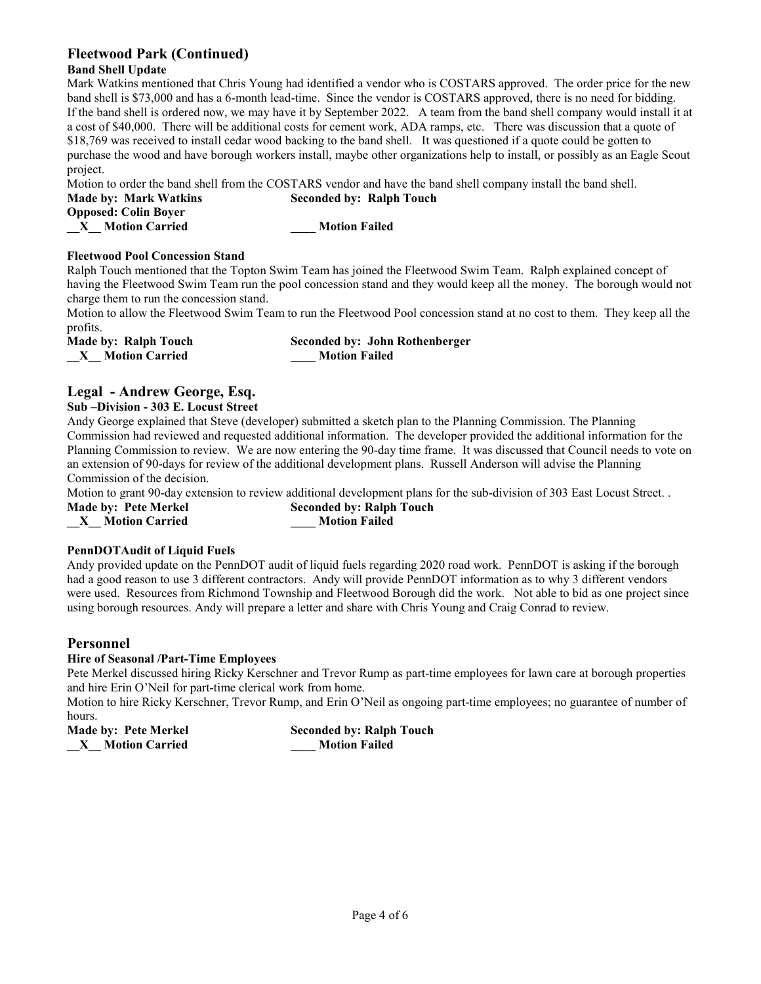## **Fleetwood Park (Continued)**

#### **Band Shell Update**

Mark Watkins mentioned that Chris Young had identified a vendor who is COSTARS approved. The order price for the new band shell is \$73,000 and has a 6-month lead-time. Since the vendor is COSTARS approved, there is no need for bidding. If the band shell is ordered now, we may have it by September 2022. A team from the band shell company would install it at a cost of \$40,000. There will be additional costs for cement work, ADA ramps, etc. There was discussion that a quote of \$18,769 was received to install cedar wood backing to the band shell. It was questioned if a quote could be gotten to purchase the wood and have borough workers install, maybe other organizations help to install, or possibly as an Eagle Scout project.

Motion to order the band shell from the COSTARS vendor and have the band shell company install the band shell. **Made by: Mark Watkins Seconded by: Ralph Touch Opposed: Colin Boyer \_\_X\_\_ Motion Carried \_\_\_\_ Motion Failed**

#### **Fleetwood Pool Concession Stand**

Ralph Touch mentioned that the Topton Swim Team has joined the Fleetwood Swim Team. Ralph explained concept of having the Fleetwood Swim Team run the pool concession stand and they would keep all the money. The borough would not charge them to run the concession stand.

Motion to allow the Fleetwood Swim Team to run the Fleetwood Pool concession stand at no cost to them. They keep all the profits.

| Made by: Ralph Touch  | <b>Seconded by: John Rothenberger</b> |
|-----------------------|---------------------------------------|
| <b>Motion Carried</b> | <b>Motion Failed</b>                  |

## **Legal - Andrew George, Esq.**

#### **Sub –Division - 303 E. Locust Street**

Andy George explained that Steve (developer) submitted a sketch plan to the Planning Commission. The Planning Commission had reviewed and requested additional information. The developer provided the additional information for the Planning Commission to review. We are now entering the 90-day time frame. It was discussed that Council needs to vote on an extension of 90-days for review of the additional development plans. Russell Anderson will advise the Planning Commission of the decision.

Motion to grant 90-day extension to review additional development plans for the sub-division of 303 East Locust Street. .

**Made by: Pete Merkel Seconded by: Ralph Touch**

**\_\_X\_\_ Motion Carried \_\_\_\_ Motion Failed**

#### **PennDOTAudit of Liquid Fuels**

Andy provided update on the PennDOT audit of liquid fuels regarding 2020 road work. PennDOT is asking if the borough had a good reason to use 3 different contractors. Andy will provide PennDOT information as to why 3 different vendors were used. Resources from Richmond Township and Fleetwood Borough did the work. Not able to bid as one project since using borough resources. Andy will prepare a letter and share with Chris Young and Craig Conrad to review.

## **Personnel**

## **Hire of Seasonal /Part-Time Employees**

Pete Merkel discussed hiring Ricky Kerschner and Trevor Rump as part-time employees for lawn care at borough properties and hire Erin O'Neil for part-time clerical work from home.

Motion to hire Ricky Kerschner, Trevor Rump, and Erin O'Neil as ongoing part-time employees; no guarantee of number of hours.

**\_\_X\_\_ Motion Carried \_\_\_\_ Motion Failed**

**Made by: Pete Merkel Seconded by: Ralph Touch**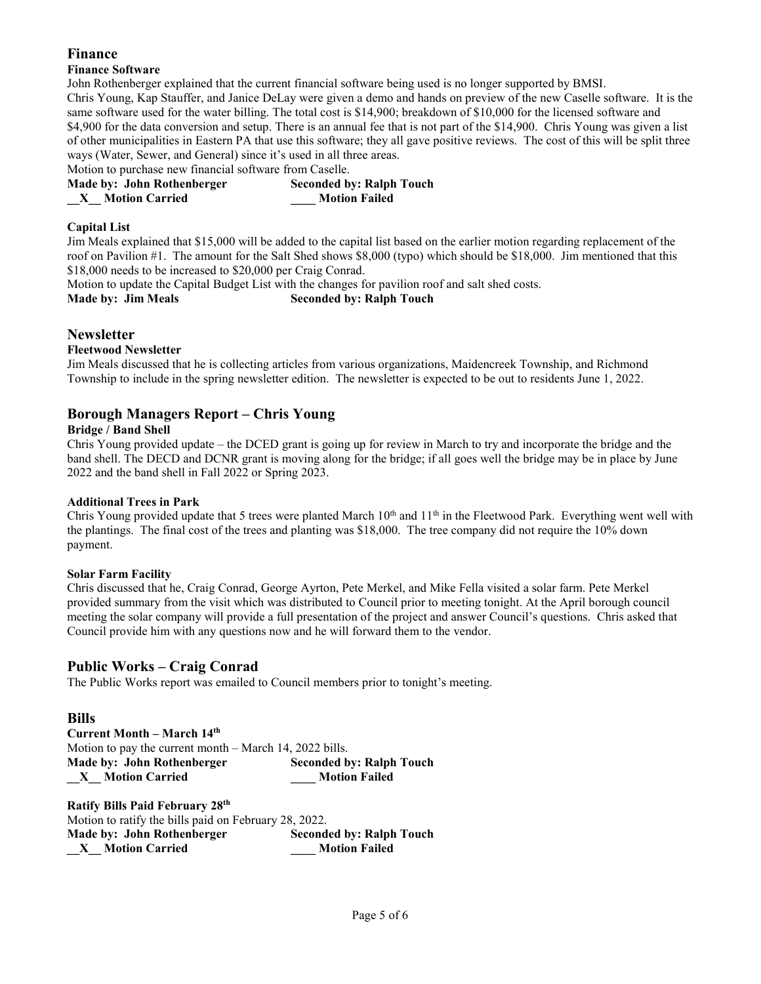## **Finance**

## **Finance Software**

John Rothenberger explained that the current financial software being used is no longer supported by BMSI. Chris Young, Kap Stauffer, and Janice DeLay were given a demo and hands on preview of the new Caselle software. It is the same software used for the water billing. The total cost is \$14,900; breakdown of \$10,000 for the licensed software and \$4,900 for the data conversion and setup. There is an annual fee that is not part of the \$14,900. Chris Young was given a list of other municipalities in Eastern PA that use this software; they all gave positive reviews. The cost of this will be split three ways (Water, Sewer, and General) since it's used in all three areas.

Motion to purchase new financial software from Caselle.

| Made by: John Rothenberger | <b>Seconded by: Ralph Touch</b> |
|----------------------------|---------------------------------|
| <b>Motion Carried</b>      | <b>Motion Failed</b>            |

## **Capital List**

Jim Meals explained that \$15,000 will be added to the capital list based on the earlier motion regarding replacement of the roof on Pavilion #1. The amount for the Salt Shed shows \$8,000 (typo) which should be \$18,000. Jim mentioned that this \$18,000 needs to be increased to \$20,000 per Craig Conrad.

Motion to update the Capital Budget List with the changes for pavilion roof and salt shed costs. **Made by: Jim Meals Seconded by: Ralph Touch**

## **Newsletter**

## **Fleetwood Newsletter**

Jim Meals discussed that he is collecting articles from various organizations, Maidencreek Township, and Richmond Township to include in the spring newsletter edition. The newsletter is expected to be out to residents June 1, 2022.

## **Borough Managers Report – Chris Young**

## **Bridge / Band Shell**

Chris Young provided update – the DCED grant is going up for review in March to try and incorporate the bridge and the band shell. The DECD and DCNR grant is moving along for the bridge; if all goes well the bridge may be in place by June 2022 and the band shell in Fall 2022 or Spring 2023.

## **Additional Trees in Park**

Chris Young provided update that 5 trees were planted March  $10<sup>th</sup>$  and  $11<sup>th</sup>$  in the Fleetwood Park. Everything went well with the plantings. The final cost of the trees and planting was \$18,000. The tree company did not require the 10% down payment.

## **Solar Farm Facility**

Chris discussed that he, Craig Conrad, George Ayrton, Pete Merkel, and Mike Fella visited a solar farm. Pete Merkel provided summary from the visit which was distributed to Council prior to meeting tonight. At the April borough council meeting the solar company will provide a full presentation of the project and answer Council's questions. Chris asked that Council provide him with any questions now and he will forward them to the vendor.

## **Public Works – Craig Conrad**

The Public Works report was emailed to Council members prior to tonight's meeting.

## **Bills**

**Current Month – March 14th**  Motion to pay the current month – March 14, 2022 bills. **Made by: John Rothenberger Seconded by: Ralph Touch \_\_X\_\_ Motion Carried \_\_\_\_ Motion Failed**

| <b>Ratify Bills Paid February 28th</b>                |                                 |
|-------------------------------------------------------|---------------------------------|
| Motion to ratify the bills paid on February 28, 2022. |                                 |
| Made by: John Rothenberger                            | <b>Seconded by: Ralph Touch</b> |
| <b>Motion Carried</b><br>$\mathbf{X}$                 | <b>Motion Failed</b>            |